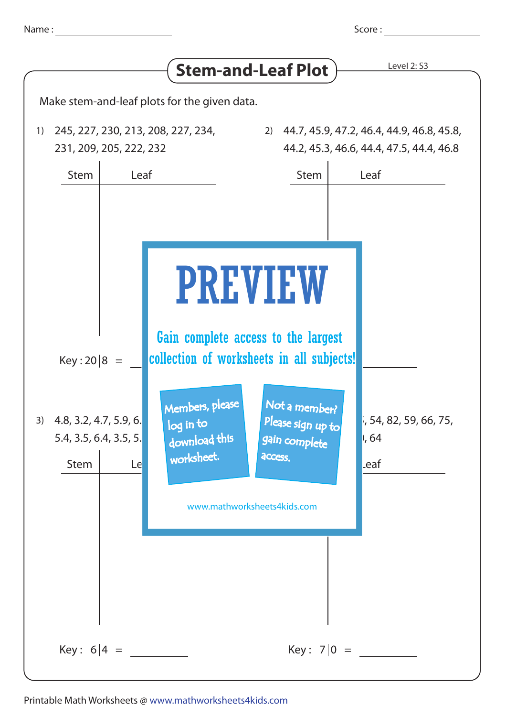| Name |  |
|------|--|
|      |  |
|      |  |

Score :

|                                                                                        |                                                                                                    |                                                                                                                                                                                                     | Level 2: S3                                                                           |
|----------------------------------------------------------------------------------------|----------------------------------------------------------------------------------------------------|-----------------------------------------------------------------------------------------------------------------------------------------------------------------------------------------------------|---------------------------------------------------------------------------------------|
|                                                                                        |                                                                                                    | <b>Stem-and-Leaf Plot</b>                                                                                                                                                                           |                                                                                       |
| Make stem-and-leaf plots for the given data.                                           |                                                                                                    |                                                                                                                                                                                                     |                                                                                       |
| 245, 227, 230, 213, 208, 227, 234,<br>1)<br>231, 209, 205, 222, 232                    |                                                                                                    | 2)                                                                                                                                                                                                  | 44.7, 45.9, 47.2, 46.4, 44.9, 46.8, 45.8,<br>44.2, 45.3, 46.6, 44.4, 47.5, 44.4, 46.8 |
| Leaf<br><b>Stem</b>                                                                    |                                                                                                    | <b>Stem</b>                                                                                                                                                                                         | Leaf                                                                                  |
| $Key: 20   8 =$<br>$3)$ 4.8, 3.2, 4.7, 5.9, 6.<br>5.4, 3.5, 6.4, 3.5, 5.<br>Stem<br>Le | Members, please<br>$\overline{\log}$ in to $\overline{\phantom{a}}$<br>download this<br>worksheet. | <b>PREVIEW</b><br>Gain complete access to the largest<br>collection of worksheets in all subjects!<br>Not a member?<br>Please sign up to<br>gain complete<br>access.<br>www.mathworksheets4kids.com | i, 54, 82, 59, 66, 75,<br> , 64<br>.eaf                                               |
| Key: $6 4 =$                                                                           |                                                                                                    | Key: $7 0 =$                                                                                                                                                                                        |                                                                                       |